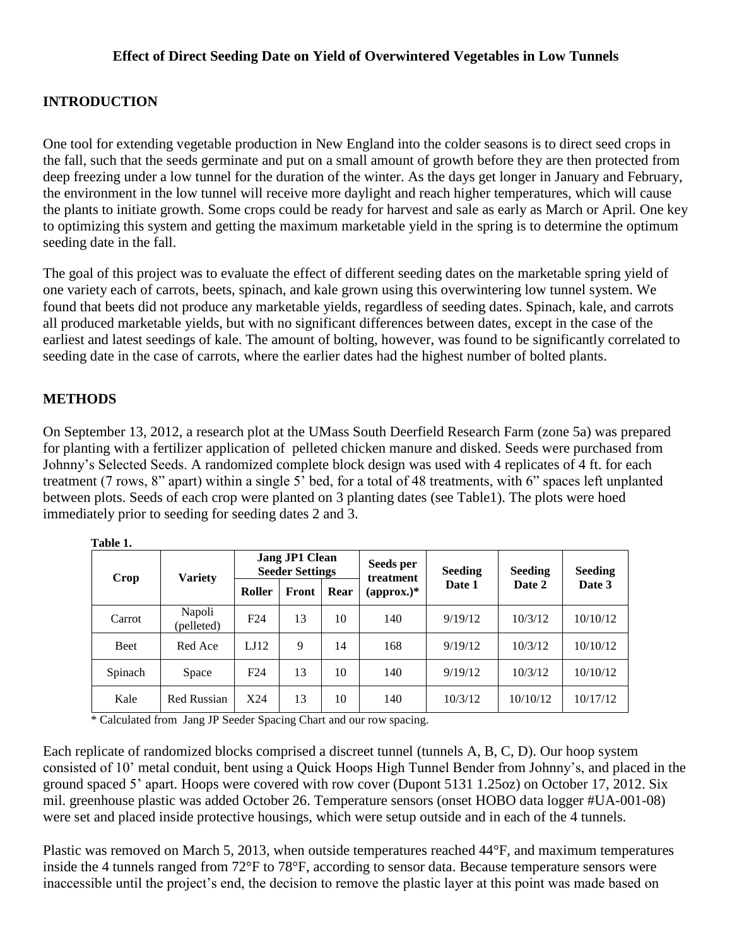## **INTRODUCTION**

One tool for extending vegetable production in New England into the colder seasons is to direct seed crops in the fall, such that the seeds germinate and put on a small amount of growth before they are then protected from deep freezing under a low tunnel for the duration of the winter. As the days get longer in January and February, the environment in the low tunnel will receive more daylight and reach higher temperatures, which will cause the plants to initiate growth. Some crops could be ready for harvest and sale as early as March or April. One key to optimizing this system and getting the maximum marketable yield in the spring is to determine the optimum seeding date in the fall.

The goal of this project was to evaluate the effect of different seeding dates on the marketable spring yield of one variety each of carrots, beets, spinach, and kale grown using this overwintering low tunnel system. We found that beets did not produce any marketable yields, regardless of seeding dates. Spinach, kale, and carrots all produced marketable yields, but with no significant differences between dates, except in the case of the earliest and latest seedings of kale. The amount of bolting, however, was found to be significantly correlated to seeding date in the case of carrots, where the earlier dates had the highest number of bolted plants.

## **METHODS**

On September 13, 2012, a research plot at the UMass South Deerfield Research Farm (zone 5a) was prepared for planting with a fertilizer application of pelleted chicken manure and disked. Seeds were purchased from Johnny's Selected Seeds. A randomized complete block design was used with 4 replicates of 4 ft. for each treatment (7 rows, 8" apart) within a single 5' bed, for a total of 48 treatments, with 6" spaces left unplanted between plots. Seeds of each crop were planted on 3 planting dates (see Table1). The plots were hoed immediately prior to seeding for seeding dates 2 and 3.

| Crop    | <b>Variety</b>       | <b>Jang JP1 Clean</b><br><b>Seeder Settings</b> |               |    | Seeds per<br>treatment | Seeding | <b>Seeding</b> | <b>Seeding</b> |
|---------|----------------------|-------------------------------------------------|---------------|----|------------------------|---------|----------------|----------------|
|         |                      | Roller                                          | Front<br>Rear |    | $\text{(approx.)}^*$   | Date 1  | Date 2         | Date 3         |
| Carrot  | Napoli<br>(pelleted) | F24                                             | 13            | 10 | 140                    | 9/19/12 | 10/3/12        | 10/10/12       |
| Beet    | Red Ace              | LJ12                                            | 9             | 14 | 168                    | 9/19/12 | 10/3/12        | 10/10/12       |
| Spinach | Space                | F24                                             | 13            | 10 | 140                    | 9/19/12 | 10/3/12        | 10/10/12       |
| Kale    | Red Russian          | X24                                             | 13            | 10 | 140                    | 10/3/12 | 10/10/12       | 10/17/12       |

 **Table 1.** 

\* Calculated from Jang JP Seeder Spacing Chart and our row spacing.

Each replicate of randomized blocks comprised a discreet tunnel (tunnels A, B, C, D). Our hoop system consisted of 10' metal conduit, bent using a Quick Hoops High Tunnel Bender from Johnny's, and placed in the ground spaced 5' apart. Hoops were covered with row cover (Dupont 5131 1.25oz) on October 17, 2012. Six mil. greenhouse plastic was added October 26. Temperature sensors (onset HOBO data logger #UA-001-08) were set and placed inside protective housings, which were setup outside and in each of the 4 tunnels.

Plastic was removed on March 5, 2013, when outside temperatures reached 44°F, and maximum temperatures inside the 4 tunnels ranged from 72°F to 78°F, according to sensor data. Because temperature sensors were inaccessible until the project's end, the decision to remove the plastic layer at this point was made based on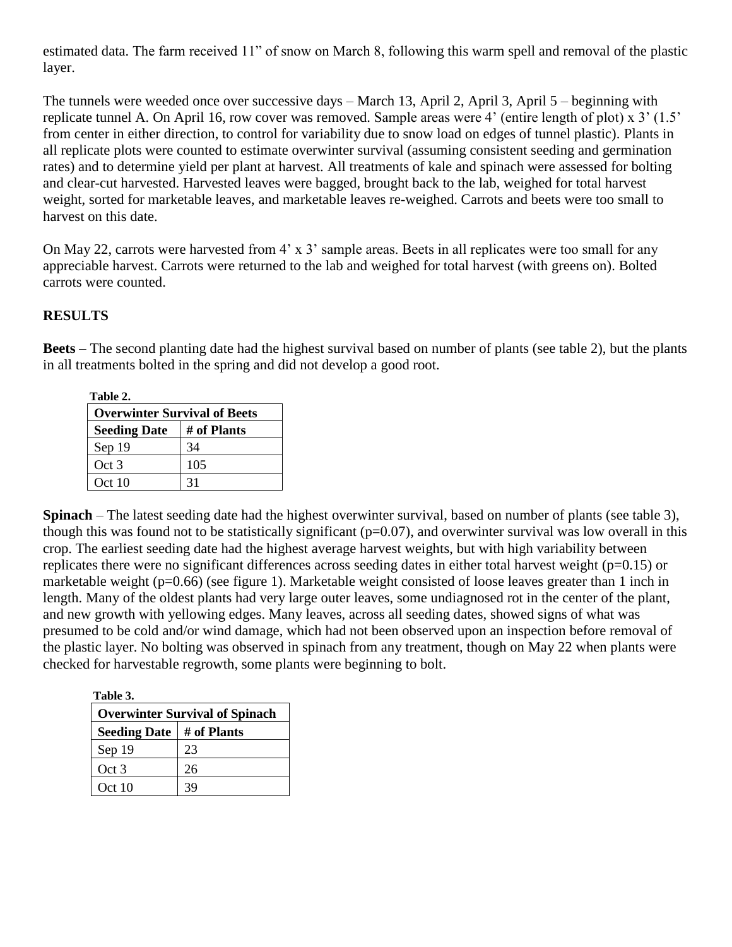estimated data. The farm received 11" of snow on March 8, following this warm spell and removal of the plastic layer.

The tunnels were weeded once over successive days – March 13, April 2, April 3, April 5 – beginning with replicate tunnel A. On April 16, row cover was removed. Sample areas were 4' (entire length of plot) x 3' (1.5' from center in either direction, to control for variability due to snow load on edges of tunnel plastic). Plants in all replicate plots were counted to estimate overwinter survival (assuming consistent seeding and germination rates) and to determine yield per plant at harvest. All treatments of kale and spinach were assessed for bolting and clear-cut harvested. Harvested leaves were bagged, brought back to the lab, weighed for total harvest weight, sorted for marketable leaves, and marketable leaves re-weighed. Carrots and beets were too small to harvest on this date.

On May 22, carrots were harvested from 4' x 3' sample areas. Beets in all replicates were too small for any appreciable harvest. Carrots were returned to the lab and weighed for total harvest (with greens on). Bolted carrots were counted.

## **RESULTS**

**Beets** – The second planting date had the highest survival based on number of plants (see table 2), but the plants in all treatments bolted in the spring and did not develop a good root.

| Table 2.            |                                     |  |  |  |
|---------------------|-------------------------------------|--|--|--|
|                     | <b>Overwinter Survival of Beets</b> |  |  |  |
| <b>Seeding Date</b> | # of Plants                         |  |  |  |
| Sep 19              | 34                                  |  |  |  |
| Oct 3               | 105                                 |  |  |  |
| Oct 10              |                                     |  |  |  |

**Spinach** – The latest seeding date had the highest overwinter survival, based on number of plants (see table 3), though this was found not to be statistically significant  $(p=0.07)$ , and overwinter survival was low overall in this crop. The earliest seeding date had the highest average harvest weights, but with high variability between replicates there were no significant differences across seeding dates in either total harvest weight (p=0.15) or marketable weight (p=0.66) (see figure 1). Marketable weight consisted of loose leaves greater than 1 inch in length. Many of the oldest plants had very large outer leaves, some undiagnosed rot in the center of the plant, and new growth with yellowing edges. Many leaves, across all seeding dates, showed signs of what was presumed to be cold and/or wind damage, which had not been observed upon an inspection before removal of the plastic layer. No bolting was observed in spinach from any treatment, though on May 22 when plants were checked for harvestable regrowth, some plants were beginning to bolt.

**Table 3.**

| <b>Overwinter Survival of Spinach</b> |             |  |  |  |
|---------------------------------------|-------------|--|--|--|
| <b>Seeding Date</b>                   | # of Plants |  |  |  |
| Sep 19                                | 23          |  |  |  |
| Oct 3                                 | 26          |  |  |  |
| Oct 10                                | 39          |  |  |  |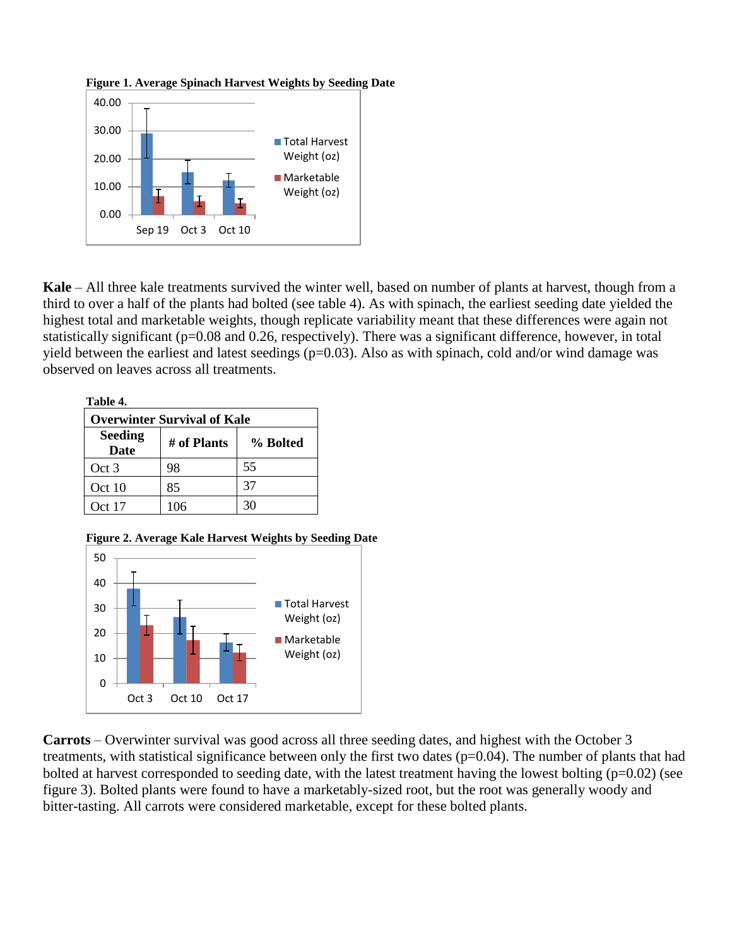



**Kale** – All three kale treatments survived the winter well, based on number of plants at harvest, though from a third to over a half of the plants had bolted (see table 4). As with spinach, the earliest seeding date yielded the highest total and marketable weights, though replicate variability meant that these differences were again not statistically significant (p=0.08 and 0.26, respectively). There was a significant difference, however, in total yield between the earliest and latest seedings  $(p=0.03)$ . Also as with spinach, cold and/or wind damage was observed on leaves across all treatments.

| Table 4.                           |             |          |  |  |  |  |  |
|------------------------------------|-------------|----------|--|--|--|--|--|
| <b>Overwinter Survival of Kale</b> |             |          |  |  |  |  |  |
| <b>Seeding</b><br><b>Date</b>      | # of Plants | % Bolted |  |  |  |  |  |
| Oct 3                              | 98          | 55       |  |  |  |  |  |
| Oct 10                             | 85          | 37       |  |  |  |  |  |
| Oct 17                             | 106         | 30       |  |  |  |  |  |

 **Figure 2. Average Kale Harvest Weights by Seeding Date**



**Carrots** – Overwinter survival was good across all three seeding dates, and highest with the October 3 treatments, with statistical significance between only the first two dates (p=0.04). The number of plants that had bolted at harvest corresponded to seeding date, with the latest treatment having the lowest bolting  $(p=0.02)$  (see figure 3). Bolted plants were found to have a marketably-sized root, but the root was generally woody and bitter-tasting. All carrots were considered marketable, except for these bolted plants.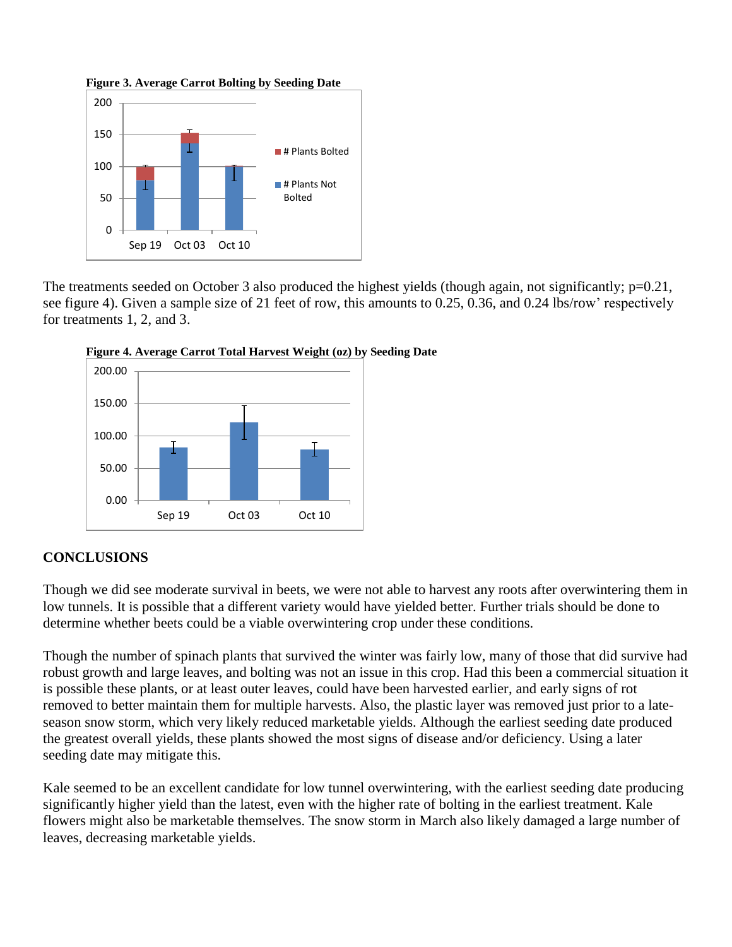**Figure 3. Average Carrot Bolting by Seeding Date**



The treatments seeded on October 3 also produced the highest yields (though again, not significantly; p=0.21, see figure 4). Given a sample size of 21 feet of row, this amounts to 0.25, 0.36, and 0.24 lbs/row' respectively for treatments 1, 2, and 3.





## **CONCLUSIONS**

Though we did see moderate survival in beets, we were not able to harvest any roots after overwintering them in low tunnels. It is possible that a different variety would have yielded better. Further trials should be done to determine whether beets could be a viable overwintering crop under these conditions.

Though the number of spinach plants that survived the winter was fairly low, many of those that did survive had robust growth and large leaves, and bolting was not an issue in this crop. Had this been a commercial situation it is possible these plants, or at least outer leaves, could have been harvested earlier, and early signs of rot removed to better maintain them for multiple harvests. Also, the plastic layer was removed just prior to a lateseason snow storm, which very likely reduced marketable yields. Although the earliest seeding date produced the greatest overall yields, these plants showed the most signs of disease and/or deficiency. Using a later seeding date may mitigate this.

Kale seemed to be an excellent candidate for low tunnel overwintering, with the earliest seeding date producing significantly higher yield than the latest, even with the higher rate of bolting in the earliest treatment. Kale flowers might also be marketable themselves. The snow storm in March also likely damaged a large number of leaves, decreasing marketable yields.